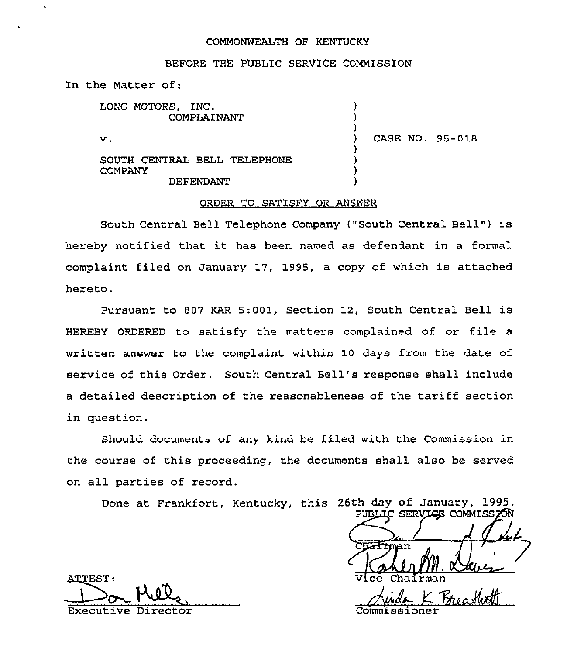#### COMMONWEALTH OF KENTUCKY

#### BEFORE THE PUBLIC SERVICE COMMISSION

) ) )

> ) ) ) )

ln the Matter of:

LONG MOTORS, INC. COMPLAINANT

 $\mathbf v$  .

) CASE NO. 95-018

SOUTH CENTRAL BELL TELEPHONE COMPANY DEFENDANT

### ORDER TO SATISFY OR ANSWER

South Central Bell Telephone Company ("South Central Bell") is hereby notified that it has been named as defendant in <sup>a</sup> formal complaint filed on January 17, 1995, a copy of which is attached hereto.

Pursuant to 807 KAR 5:001, Section 12, South Central Bell is HEREBY ORDERED to satisfy the matters complained of or file a written answer to the complaint within 10 days from the date of service of this Order. South Central Bell's response shall include <sup>a</sup> detailed description of the reasonableness of the tariff section in question.

Should documents of any kind be filed with the Commission in the course of this proceeding, the documents shall also be served on all parties of record.

Done at Frankfort, Kentucky, this 26th day of January, 1995.

PUBLIC SERVI<del>C</del>E COMMISSION  $\overline{\text{Cndrmm}}$ Vice Chairman

**ATTEST:** Executive Director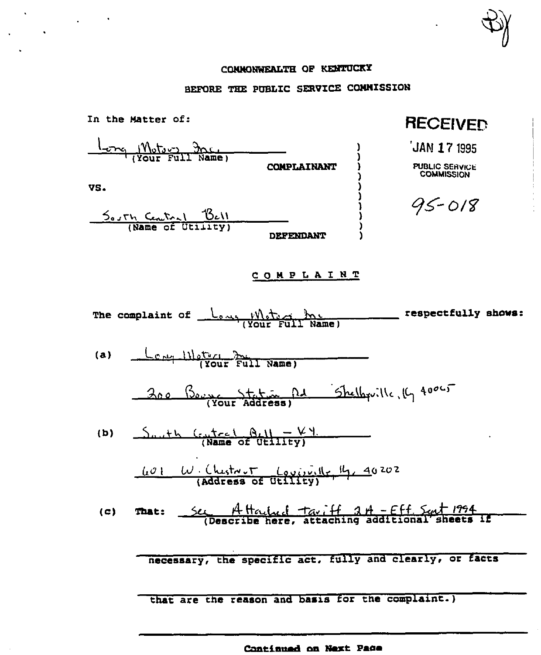CONNONWEALTH OF KENTUCKY

 $\mathbf{v}$ 

 $\hat{\mathbf{v}}$ 

 $\ddot{\phantom{0}}$ 

 $\sim$  .

# BEFORE THE PUBLIC SERVICE COMMISSION

| In the Matter of:                                                                                                                                                                                                                                                                                                                                                                                                                 | <b>RECEIVED</b>                                           |
|-----------------------------------------------------------------------------------------------------------------------------------------------------------------------------------------------------------------------------------------------------------------------------------------------------------------------------------------------------------------------------------------------------------------------------------|-----------------------------------------------------------|
| $\frac{1}{1-\gamma}$ $\frac{1}{\gamma}$ $\frac{1}{\gamma}$ $\frac{1}{\gamma}$ $\frac{1}{\gamma}$ $\frac{1}{\gamma}$ $\frac{1}{\gamma}$ $\frac{1}{\gamma}$ $\frac{1}{\gamma}$ $\frac{1}{\gamma}$ $\frac{1}{\gamma}$ $\frac{1}{\gamma}$ $\frac{1}{\gamma}$ $\frac{1}{\gamma}$ $\frac{1}{\gamma}$ $\frac{1}{\gamma}$ $\frac{1}{\gamma}$ $\frac{1}{\gamma}$ $\frac{1}{\gamma}$ $\frac{1}{\gamma}$<br><b>COMPLAINANT</b>               | JAN 17 1995<br><b>PUBLIC SERVICE</b><br><b>COMMISSION</b> |
| VS.<br>South Centry Bell<br>(Name of Utility)<br>DEFENDANT                                                                                                                                                                                                                                                                                                                                                                        | $95 - 018$                                                |
| COMPLAINT                                                                                                                                                                                                                                                                                                                                                                                                                         |                                                           |
| The complaint of Lever Weter Inc.                                                                                                                                                                                                                                                                                                                                                                                                 | ___ respectfully shows:                                   |
| Compulster 301 Name)<br>(a)                                                                                                                                                                                                                                                                                                                                                                                                       |                                                           |
| 200 Boyse States Rd Shelbquille, 19 40065                                                                                                                                                                                                                                                                                                                                                                                         |                                                           |
| $\frac{\mathcal{L}_{\text{u}} + \mathcal{L}_{\text{u}} \left( \mathcal{L}_{\text{u}} + \mathcal{L}_{\text{u}} \right)}{\mathsf{Name of } \text{u} \left( \mathcal{L}_{\text{u}} \right)}$<br>(b)                                                                                                                                                                                                                                  |                                                           |
| $\underbrace{L\vartheta}$ $\cup$ $\cdot$ (hestron $\underbrace{L\vartheta\vartheta}$ , $\underbrace{R\vartheta}$ $\underbrace{L\vartheta}$ and $\underbrace{L\vartheta}$ and $\underbrace{L\vartheta}$ and $\underbrace{L\vartheta}$ and $\underbrace{L\vartheta}$ and $\underbrace{L\vartheta}$ and $\underbrace{L\vartheta}$ and $\underbrace{L\vartheta}$ and $\underbrace{L\vartheta}$ and $\underbrace{L\vartheta}$ and $\u$ |                                                           |
| Sec A Houlad Tariff 2 A - Eff. Sent 1994<br>(c)<br><b>That:</b>                                                                                                                                                                                                                                                                                                                                                                   |                                                           |
| necessary, the specific act, fully and clearly, or facts                                                                                                                                                                                                                                                                                                                                                                          |                                                           |
| that are the reason and basis for the complaint.)                                                                                                                                                                                                                                                                                                                                                                                 |                                                           |

Continued on Next Page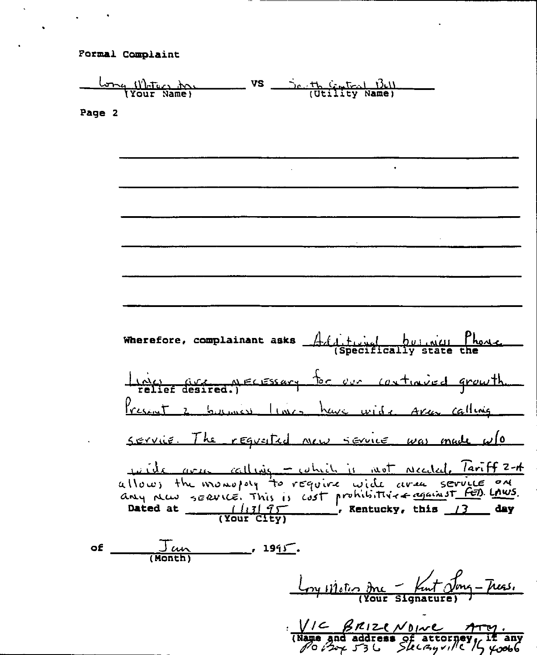Formal Complaint

<u>Come Waters down vs</u> Senth Central Bell<br>(Your Name) (Utility Name) Page 2 Wherefore, complainant asks  $A$  (it is buind! Those I nou are a recessary for our continued growth. Present 2 by mes lines have wide Area calling servie. The requaited new service was made w/o wide are calling - which is not receded. Tariff 2-A<br>allows the monopoly to require wide area service on Dated at  $\frac{1}{3}$  (Your City) \_\_\_\_\_\_\_\_\_\_\_\_\_\_\_\_\_, Rentucky, this 13 day of  $\qquad \qquad$  $\frac{J \omega}{(Month)}$  $\frac{191}{5}$ . Loy vietin du Fut Jong Tres.  $V/C$   $\beta$   $R12$   $e$   $N0$   $w$   $e$   $\gamma$ - $w$ .<br>(Name and address of attorney, if any<br> $\beta$   $\alpha$   $\beta$   $\gamma$   $\gamma$   $\beta$   $\beta$   $\beta$   $\beta$   $\gamma$   $\beta$   $\beta$   $\gamma$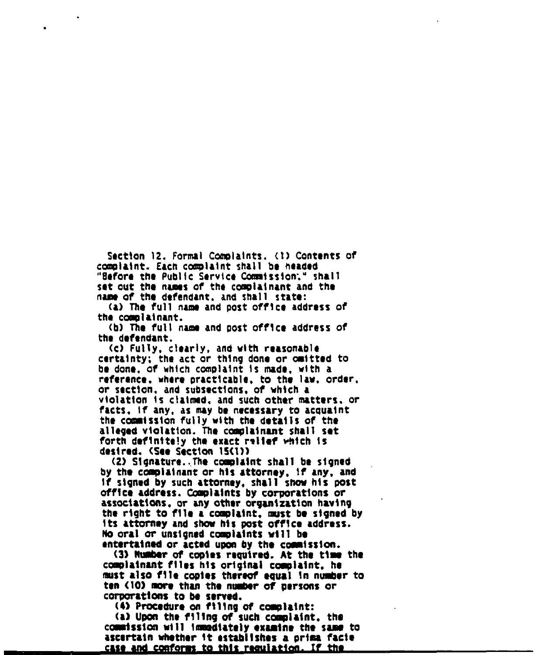Section 12. Formal Complaints, (1) Contents of complaint. Each complaint shall be headed "Sefore the Public Service Commission;" shall set out the names of the complainant and the name of the defendant. and shall state:

(a) The full name and post office address of the complainant.

(b) The full name and post office address of the defendant.<br>The fully cleanly and with experiments

(c) Fully, clearly, and with reasonable certainty; the act or thing done or omitted to be done, of whiCh complaint ls made, with a reference, where practicable, to the law, order, or section, and subsections, of which a violation is claimed, and such other matters. or facts, if any, as may be necessary to acquaint the commission fully with the details of the alleged violation. The complainant shall set forth definite!y the exact relief which ls desired. (See Section 1S(l)l

(2) Signature..The complaint shall be signed<br>by the complainant or his attorney, if any, and if signed by such attorney, shall show his post office address. Complaints by corporations or assoclatlons, or any ocher organization having the right to flie a complaint, must be signed by<br>its attorney and show his post office address.<br>No oral or unsigned complaints will be<br>entertained or acted upon by the commission.<br>(3) Number of copies required. At the time its attorney and show his post office address.<br>No oral or unsigned complaints will be entertained or acted upon by the comission.

(3) Number of copies required. At the time the complainant files his original complaint, he must also file copies thereof equal in number to ten (10) more than the number of persons or corporations to be served.

(4) Procedure on filing of complaint:

(a) Upon the filing of such complaint, the commission will immediately examine the same to ascertain whether it establishes a prima facie <u>case and conforms to this requiation. If the </u>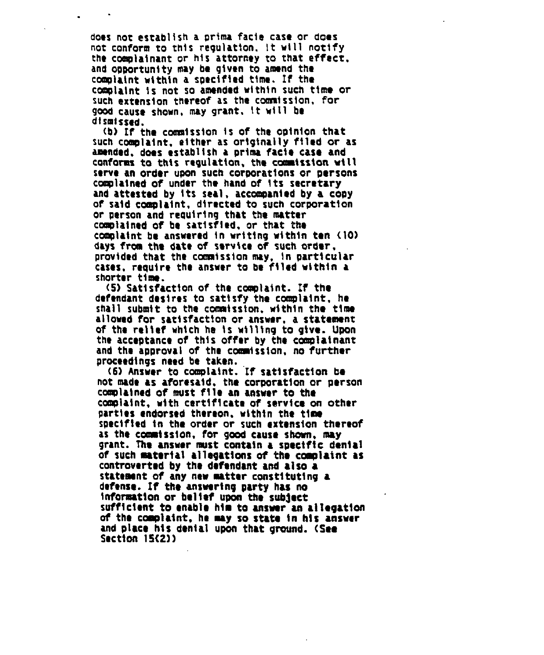does not establish a prima facie case or does not conform to this regulation, it will notify the complainant or his attorney to that effect, and opportunity may be given to amend the complaint within <sup>a</sup> specified time. If the complaint is not so amended «ithln such time or such extension thereof as the commission. for good cause shown, may grant. lt vill be dismissed.

(b) If the commission is of the opinion that such complaint, either as originally filed or as amended. does establish a prima facie case and conforms to this regulation. the caaaission will serve an order upon such corporations or persons complained of under the hand of its secretary and attested by its seal, accompanied by a copy of said complaint, directed to such corporation or person and requiring that the matter complained of be satisfied. or that the complaint be answered in writing within ten (10) days from the date of service of such order, provided that the commission may, in particular cases, require the answer to be filed within a shorter time.

(5) Satisfaction of the complaint. If the defendant desires to satisfy the complaint. he shall submit to the commission, within the time allowed for satisfaction or answer, a statement of the relief which he ls willing to give. Upon the acceptance of this offer by the complainant and the approval of the coaaisslon, no further proceedings need be taken.

(6) Answer to complaint. If satisfaction be not made as aforesaid, the corporation or person complained of must file an answer to the complaint, with certlflcate of service on other parties endorsed thereon, within the time specif'led ln the order or such extension thereof as the commission, for good cause shown, may grant. The answer must contain a specific denial of such material allegations of the complaint as controverted by the defendant and also a statement of any new matter constituting a defense. If the answering party has no lnforsatlon or belief upon Che sub)ect sufficient to enable him to answer an allegation<br>of the complaint, he may so state in his answer and place his denial upon that ground. (See Section 1S(2))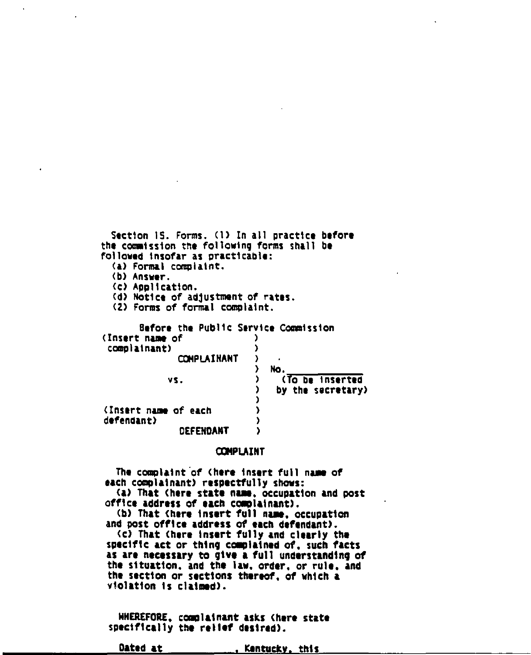Section 15. Forms. (1) In all practice before the commission the following forms shall be followed insofar as practicable: <a) Formal complaint. (b) Answer. <c) Application. (d) Notice of adjustment of rates. <2) Forms of formal complaint. <Insert name of each defendant) **DEFENDANT** Before the public Service Comsissian (Insert name of )<br>complainant) () complainant) COMPLAINANT ) ) No. vs. ) (To be inserted ) by the secretary) ) ) )

## **COMPLAINT**

The complaint of (here insert full name of each complainant) respectfully shows: (a) That (here state name, occupation and post office address of each complainant). (b) That (here insert full name, occupation and post office address of each defendant). <c) That (here insert fully and clearly the specif'lc aet or thing camplalned of. such facts as are necessary to give a full understanding of the situation, and the law, order, or rule, and the sect1on or sections thereof, of which a violation is claimed).

NNEREFORE, co<m)iainant asks (here state specifically the relief desired).

Dated at \_\_\_\_\_\_\_\_\_\_\_\_, Kentucky, this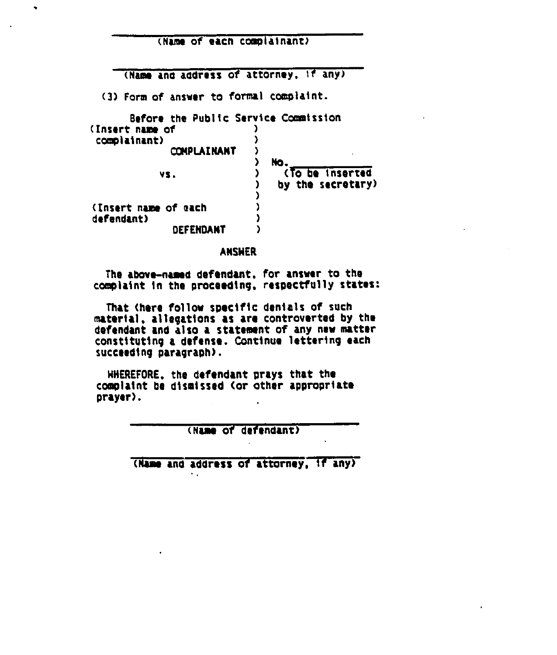(Name of each ccmpiainant)

(Name and address of attorney, 1f any)

(3) Form of answer to formal complaint.

 $\bullet$ 

| Before the Public Service Commission |                   |
|--------------------------------------|-------------------|
| (Insert name of                      |                   |
| complainant)                         |                   |
| COMPLAINANT                          |                   |
|                                      | No.               |
| VS.                                  | (To be inserted   |
|                                      | by the secretary) |
|                                      |                   |
| (Insert name of each                 |                   |
| defendant)                           |                   |
| DEFENDANT                            |                   |

ANSWER

The above-named defendant. for answer to the complaint in the proceeding, respectfully states:

That (here follow specific denials of such material, allegations as are controverted by the defendant and also a statement of any new matter constituting a defense. Continue lettering each succeeding paragraph).

NHEREFORE, the defendant prays that the complaint be dismissed (or other appropr1ate prayer).

(Name of defendant)

(Name and address of attorney. 1f any)